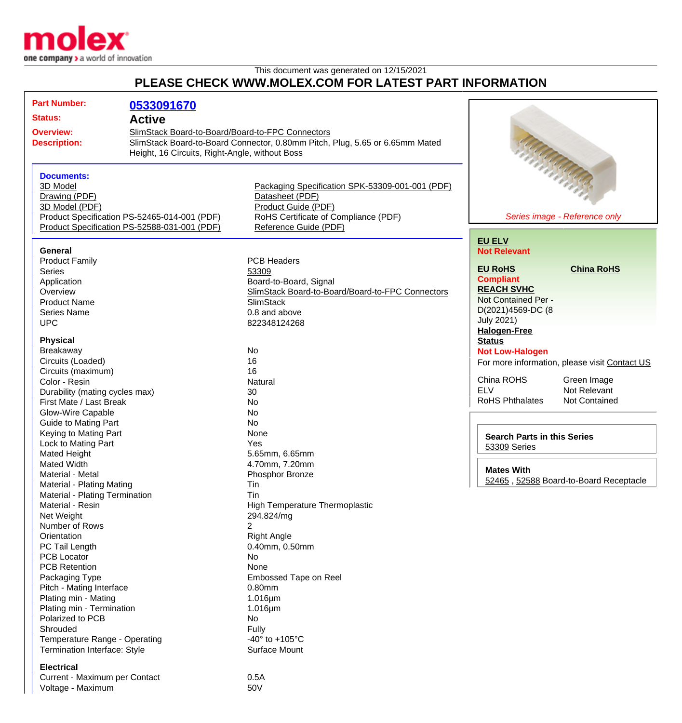

Voltage - Maximum 60V

## This document was generated on 12/15/2021 **PLEASE CHECK WWW.MOLEX.COM FOR LATEST PART INFORMATION**

| <b>Part Number:</b>                                       | 0533091670                                                                   |                                                  |                                    |                                               |
|-----------------------------------------------------------|------------------------------------------------------------------------------|--------------------------------------------------|------------------------------------|-----------------------------------------------|
| <b>Status:</b>                                            |                                                                              |                                                  |                                    |                                               |
| <b>Active</b>                                             |                                                                              |                                                  |                                    |                                               |
| <b>Overview:</b>                                          | SlimStack Board-to-Board/Board-to-FPC Connectors                             |                                                  |                                    |                                               |
| <b>Description:</b>                                       | SlimStack Board-to-Board Connector, 0.80mm Pitch, Plug, 5.65 or 6.65mm Mated |                                                  |                                    |                                               |
|                                                           | Height, 16 Circuits, Right-Angle, without Boss                               |                                                  |                                    |                                               |
|                                                           |                                                                              |                                                  |                                    | Antich Charles Car                            |
| <b>Documents:</b>                                         |                                                                              |                                                  |                                    |                                               |
| 3D Model                                                  |                                                                              | Packaging Specification SPK-53309-001-001 (PDF)  |                                    |                                               |
| Drawing (PDF)                                             |                                                                              | Datasheet (PDF)                                  |                                    |                                               |
| 3D Model (PDF)                                            |                                                                              | Product Guide (PDF)                              |                                    |                                               |
|                                                           | Product Specification PS-52465-014-001 (PDF)                                 | RoHS Certificate of Compliance (PDF)             |                                    | Series image - Reference only                 |
|                                                           | Product Specification PS-52588-031-001 (PDF)                                 | Reference Guide (PDF)                            |                                    |                                               |
|                                                           |                                                                              |                                                  | <b>EU ELV</b>                      |                                               |
| General                                                   |                                                                              |                                                  | <b>Not Relevant</b>                |                                               |
| <b>Product Family</b>                                     |                                                                              | <b>PCB Headers</b>                               | <b>EU RoHS</b>                     | <b>China RoHS</b>                             |
| <b>Series</b>                                             |                                                                              | 53309                                            | <b>Compliant</b>                   |                                               |
| Application                                               |                                                                              | Board-to-Board, Signal                           | <b>REACH SVHC</b>                  |                                               |
| Overview                                                  |                                                                              | SlimStack Board-to-Board/Board-to-FPC Connectors | Not Contained Per -                |                                               |
| <b>Product Name</b>                                       |                                                                              | SlimStack                                        | D(2021)4569-DC (8                  |                                               |
| <b>Series Name</b>                                        |                                                                              | 0.8 and above                                    | <b>July 2021)</b>                  |                                               |
| <b>UPC</b>                                                |                                                                              | 822348124268                                     | <b>Halogen-Free</b>                |                                               |
| <b>Physical</b>                                           |                                                                              |                                                  | <b>Status</b>                      |                                               |
| <b>Breakaway</b>                                          |                                                                              | No                                               | <b>Not Low-Halogen</b>             |                                               |
| Circuits (Loaded)                                         |                                                                              | 16                                               |                                    |                                               |
| Circuits (maximum)                                        |                                                                              | 16                                               |                                    | For more information, please visit Contact US |
| Color - Resin                                             |                                                                              | Natural                                          | China ROHS                         | Green Image                                   |
|                                                           |                                                                              | 30                                               | <b>ELV</b>                         | Not Relevant                                  |
| Durability (mating cycles max)<br>First Mate / Last Break |                                                                              | No                                               | <b>RoHS Phthalates</b>             | <b>Not Contained</b>                          |
| Glow-Wire Capable                                         |                                                                              | No                                               |                                    |                                               |
| Guide to Mating Part                                      |                                                                              | No                                               |                                    |                                               |
| Keying to Mating Part                                     |                                                                              | None                                             |                                    |                                               |
| Lock to Mating Part                                       |                                                                              | Yes                                              | <b>Search Parts in this Series</b> |                                               |
| Mated Height                                              |                                                                              | 5.65mm, 6.65mm                                   | 53309 Series                       |                                               |
| <b>Mated Width</b>                                        |                                                                              | 4.70mm, 7.20mm                                   |                                    |                                               |
| Material - Metal                                          |                                                                              | Phosphor Bronze                                  | <b>Mates With</b>                  |                                               |
| <b>Material - Plating Mating</b>                          |                                                                              | Tin                                              |                                    | 52465, 52588 Board-to-Board Receptacle        |
| Material - Plating Termination                            |                                                                              | Tin                                              |                                    |                                               |
| Material - Resin                                          |                                                                              | <b>High Temperature Thermoplastic</b>            |                                    |                                               |
| Net Weight                                                |                                                                              | 294.824/mg                                       |                                    |                                               |
| Number of Rows                                            |                                                                              | 2                                                |                                    |                                               |
| Orientation                                               |                                                                              | <b>Right Angle</b>                               |                                    |                                               |
| PC Tail Length                                            |                                                                              | 0.40mm, 0.50mm                                   |                                    |                                               |
| PCB Locator                                               |                                                                              | No                                               |                                    |                                               |
| <b>PCB Retention</b>                                      |                                                                              | None                                             |                                    |                                               |
| Packaging Type                                            |                                                                              | Embossed Tape on Reel                            |                                    |                                               |
| Pitch - Mating Interface                                  |                                                                              | 0.80mm                                           |                                    |                                               |
| Plating min - Mating                                      |                                                                              | $1.016 \mu m$                                    |                                    |                                               |
| Plating min - Termination                                 |                                                                              | $1.016 \mu m$                                    |                                    |                                               |
| Polarized to PCB                                          |                                                                              | No                                               |                                    |                                               |
| Shrouded                                                  |                                                                              | Fully                                            |                                    |                                               |
| Temperature Range - Operating                             |                                                                              | -40 $\degree$ to +105 $\degree$ C                |                                    |                                               |
| Termination Interface: Style                              |                                                                              | Surface Mount                                    |                                    |                                               |
|                                                           |                                                                              |                                                  |                                    |                                               |
| <b>Electrical</b>                                         |                                                                              |                                                  |                                    |                                               |
| Current - Maximum per Contact                             |                                                                              | 0.5A                                             |                                    |                                               |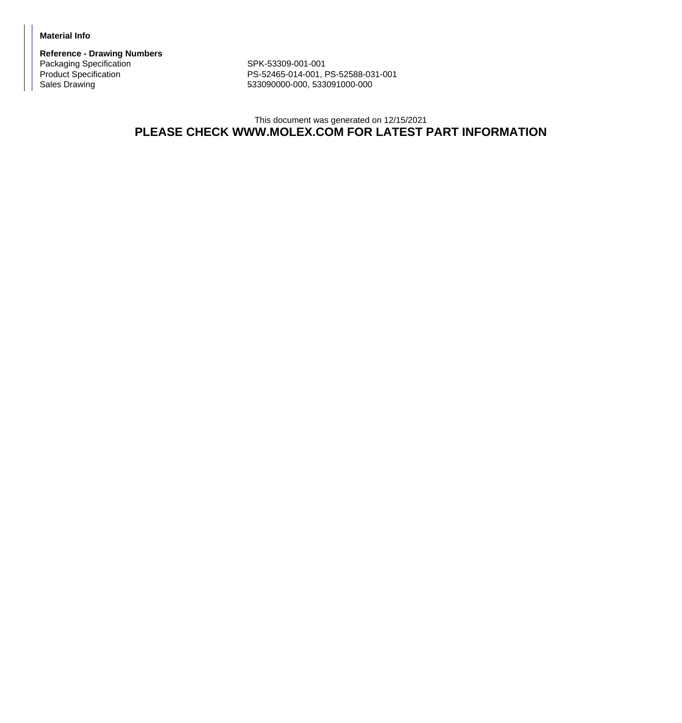## **Material Info**

**Reference - Drawing Numbers** Packaging Specification SPK-53309-001-001<br>Product Specification SPK-52465-014-001, F

Product Specification <br>
PS-52465-014-001, PS-52588-031-001<br>
Sales Drawing <br>
PS-53090000-000, 533091000-000 Sales Drawing 533090000-000, 533091000-000

## This document was generated on 12/15/2021 **PLEASE CHECK WWW.MOLEX.COM FOR LATEST PART INFORMATION**